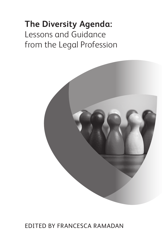# **The Diversity Agenda:** Lessons and Guidance from the Legal Profession



### Edited by Francesca Ramadan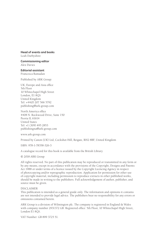### **Head of events and books**

Leah Darbyshire

**Commissioning editor** Alex Davies

**Editorial assistant** Francesca Ramadan

Published by ARK Group:

UK, Europe and Asia office 5th Floor 10 Whitechapel High Street London, E1 8QS United Kingdom Tel: +44(0) 207 566 5792 publishing@ark-group.com

North America office 4408 N. Rockwood Drive, Suite 150 Peoria IL 61614 United States Tel: +1 (309) 495 2853 publishingna@ark-group.com

www.ark-group.com

Printed by Canon (UK) Ltd, Cockshot Hill, Reigate, RH2 8BF, United Kingdom

ISBN: 978-1-78358-326-3

A catalogue record for this book is available from the British Library

© 2018 ARK Group

All rights reserved. No part of this publication may be reproduced or transmitted in any form or by any means, except in accordance with the provisions of the Copyright, Designs and Patents Act 1988 or under terms of a licence issued by the Copyright Licencing Agency in respect of photocopying and/or reprographic reproduction. Application for permission for other use of copyright material, including permission to reproduce extracts in other published works, should be made in writing to the publishers. Full acknowledgement of author, publisher, and source must be given.

#### DISCLAIMER

This publication is intended as a general guide only. The information and opinions it contains are not intended to provide legal advice. The publishers bear no responsibility for any errors or omissions contained herein.

ARK Group is a division of Wilmington plc. The company is registered in England & Wales with company number 2931372 GB. Registered office: 5th Floor, 10 Whitechapel High Street, London E1 8QS.

VAT Number: GB 899 3725 51.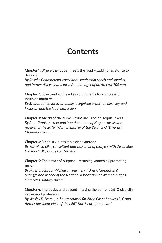## **Contents**

Chapter 1: Where the rubber meets the road – tackling resistance to diversity

*By Rosalie Chamberlain, consultant, leadership coach and speaker, and former diversity and inclusion manager of an AmLaw 100 firm*

Chapter 2: Structural equity – key components for a successful inclusion initiative *By Sharon Jones, internationally recognized expert on diversity and inclusion and the legal profession*

Chapter 3: Ahead of the curve – trans inclusion at Hogan Lovells *By Ruth Grant, partner and board member of Hogan Lovells and receiver of the 2016 "Woman Lawyer of the Year" and "Diversity Champion" awards* 

Chapter 4: Disability, a desirable disadvantage *By Yasmin Sheikh, consultant and vice-chair of Lawyers with Disabilities Division (LDD) at the Law Society* 

Chapter 5: The power of purpose – retaining women by promoting passion

*By Karen J. Johnson-McKewan, partner at Orrick, Herrington & Sutcliffe and winner of the National Association of Women Judges' Florence K. Murray Award*

Chapter 6: The basics and beyond – raising the bar for LGBTQ diversity in the legal profession *By Wesley D. Bizzell, in-house counsel for Altria Client Services LLC and former president-elect of the LGBT Bar Association board*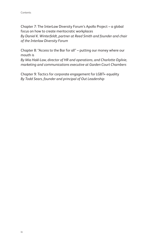Chapter 7: The InterLaw Diversity Forum's Apollo Project – a global focus on how to create meritocratic workplaces *By Daniel K. Winterfeldt, partner at Reed Smith and founder and chair of the Interlaw Diversity Forum*

Chapter 8: "Access to the Bar for all" – putting our money where our mouth is

*By Mia Hakl-Law, director of HR and operations, and Charlotte Ogilvie, marketing and communications executive at Garden Court Chambers*

Chapter 9: Tactics for corporate engagement for LGBT+ equality *By Todd Sears, founder and principal of Out Leadership*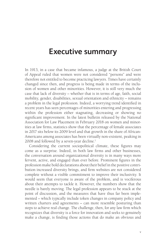## **Executive summary**

In 1913, in a case that became infamous, a judge at the British Court of Appeal ruled that women were not considered "persons" and were therefore not entitled to become practicing lawyers. Times have certainly changed since then, and progress is being made in terms of the inclusion of women and other minorities. However, it is still very much the case that lack of diversity – whether that is in terms of age, faith, social mobility, gender, disabilities, sexual orientation and ethnicity – remains a problem in the legal profession. Indeed, a worrying trend identified in recent years has seen percentages of minorities entering and progressing within the profession either stagnating, decreasing or showing no significant improvement. In the latest bulletin released by the National Association for Law Placement in February 2018 on women and minorities at law firms, statistics show that the percentage of female associates in 2017 sits below its 2009 level and that growth in the share of African-Americans among associates has been virtually non-existent, peaking in 2008 and followed by a seven-year decline.<sup>1</sup>

Considering the current sociopolitical climate, these figures may come as a surprise. Indeed, in both law firms and other businesses, the conversation around organizational diversity is in many ways more fervent, active, and engaged than ever before. Prominent figures in the profession make bold declarations about their belief in the positive contribution increased diversity brings, and firm websites are not considered complete without a visible commitment to improve their inclusivity. It would seem that everyone is aware of the problem, and is vociferous about their attempts to tackle it. However, the numbers show that the needle is barely moving. The legal profession appears to be stuck at the point of discussion, and the measures that have thus far been implemented – which typically include token changes in company policy and written charters and agreements – can more resemble posturing than steps to achieve real change. The challenge, then, for any law firm which recognizes that diversity is a force for innovation and seeks to genuinely make a change, is finding those actions that do make an obvious and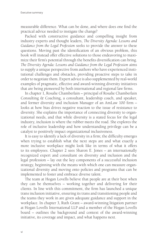measurable difference. What can be done, and where does one find the practical advice needed to instigate the change?

Packed with constructive guidance and compelling insight from industry experts and thought leaders, *The Diversity Agenda: Lessons and Guidance from the Legal Profession* seeks to provide the answer to these questions. Moving past the identification of an obvious problem, this book will instead offer effective solutions to those endeavoring to maximize their firm's potential through the benefits diversification can bring. *The Diversity Agenda: Lessons and Guidance from the Legal Profession* aims to supply a unique perspective from authors who have experienced institutional challenges and obstacles, providing proactive steps to take in order to negotiate them. Expert advice is also supplemented by real-world examples of pragmatic, effective and award-winning diversity initiatives that are being pioneered by both international and regional law firms.

In chapter 1, Rosalie Chamberlain – principal of Rosalie Chamberlain Consulting & Coaching, a consultant, leadership coach, and speaker, and former diversity and inclusion Manager of an AmLaw 100 firm – looks at how bias drives negative reaction to the issue of resistance to diversity. She explains the importance of connecting diversity to organizational needs, and that while diversity is a stated focus for the legal industry, inclusion is where the rubber meets the road. She explores the role of inclusive leadership and how understanding privilege can be a catalyst to positively impact organizational inclusiveness.

It is easy to identify a lack of diversity in a firm; the difficulty emerges when trying to establish what the next steps are and what exactly a more inclusive workplace might look like in terms of what it offers to its employees. Chapter 2 sees Sharon E. Jones – an internationally recognized expert and consultant on diversity and inclusion and the legal profession – lay out the key components of a successful inclusion strategy, beginning with the means with which one can measure organizational diversity and moving onto policies and programs that can be implemented to foster and embrace diverse talent.

The team at Hogan Lovells believe that people are at their best when they can be themselves – working together and delivering for their clients. In line with this commitment, the firm has launched a unique trans inclusion initiative, ensuring its trans and transitioning people and the teams they work in are given adequate guidance and support in the workplace. In chapter 3, Ruth Grant – award-winning litigation partner at Hogan Lovells International LLP and a member of the Hogan Lovells board – outlines the background and context of the award-winning initiative, its coverage and impact, and what happens next.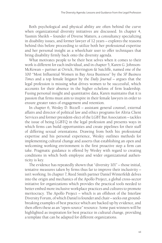Both psychological and physical ability are often behind the curve when organizational diversity initiatives are discussed. In chapter 4, Yasmin Sheikh – founder of Diverse Matters, a consultancy specializing in disability issues, and former lawyer of 12 years – explores the reasons behind this before proceeding to utilize both her professional expertise and her personal insight as a wheelchair user to offer techniques that bring disability firmly back onto the diversity agenda.

What motivates people to be their best selves when it comes to their work is different for each individual, and in chapter 5, Karen G. Johnson-McKewan – partner at Orrick, Herrington & Sutcliffe, named one of the 100 "Most Influential Women in Bay Area Business" by the *SF Business Times* and a top female litigator by the *Daily Journal –* argues that the legal profession is missing what drives women to be successful, which accounts for their absence in the higher echelons of firm leadership. Fusing personal insight and quantitative data, Karen maintains that it is passion that firms must aim to inspire in their female lawyers in order to ensure greater rates of engagement and retention.

In chapter 6, Wesley D. Bizzell – assistant general counsel, external affairs and director of political law and ethics programs for Altria Client Services and former president-elect of the LGBT Bar Association – tackles the issue of being LGBTQ in the legal profession and presents ways in which firms can build opportunities and create pipelines for their staff of differing sexual orientations. Drawing from both his professional expertise and his personal experience, Wesley outlines methods for implementing cultural change and asserts that establishing an open and welcoming working environment is the first proactive step a firm can take. Pragmatic guidance is offered by Wesley with regard to creating conditions in which both employee and wider organizational authenticity is key.

The evidence has repeatedly shown that "diversity 101" – those initial, tentative measures taken by firms thus far to improve their inclusivity – isn't working. In chapter 7, Reed Smith partner Daniel Winterfeldt delves into the origin and mechanics of the Apollo Project, a global cross-sector initiative for organizations which provides the practical tools needed to better embed more inclusive workplace practices and cultures to promote meritocracy. The Apollo Project – which is an offshoot of the Interlaw Diversity Forum, of which Daniel is founder and chair – seeks out groundbreaking examples of best practice which are backed up by evidence, and then offers these as an "open-source" resource. Some past winners will be highlighted as inspiration for best practice in cultural change, providing a template that can be adapted for different organizations.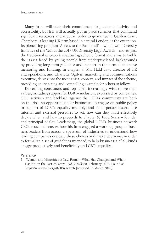Executive summary

Many firms will state their commitment to greater inclusivity and accessibility, but few will actually put in place schemes that command significant resources and input in order to guarantee it. Garden Court Chambers, a leading UK firm based in central London, is the exception. Its pioneering program "Access to the Bar for all" – which won Diversity Initiative of the Year at the 2017 UK Diversity Legal Awards – moves past the traditional one-week shadowing scheme format and aims to tackle the issues faced by young people from underprivileged backgrounds by providing long-term guidance and support in the form of extensive mentoring and funding. In chapter 8, Mia Hakl-Law, director of HR and operations, and Charlotte Ogilvie, marketing and communications executive, delves into the mechanics, context, and impact of the scheme, providing an inspiring and compelling example for others to follow.

Discerning consumers and top talent increasingly wish to see their values, including support for LGBT+ inclusion, expressed by companies. CEO activism and backlash against the LGBT+ community are both on the rise. As opportunities for businesses to engage on public policy in support of LGBT+ equality multiply, and as corporate leaders face internal and external pressures to act, how can they most effectively decide when and how to proceed? In chapter 9, Todd Sears – founder and principal of Out Leadership, the global LGBT+ business network CEOs trust – discusses how his firm engaged a working group of business leaders from across a spectrum of industries to understand how leading companies evaluate these choices and make decisions, in order to formalize a set of guidelines intended to help businesses of all kinds engage productively and beneficially on LGBT+ equality.

### *Reference*

1. "Women and Minorities at Law Firms – What Has Changed and What Has Not in the Past 25 Years", *NALP Bulletin*, February 2018. Found at https://www.nalp.org/0218research [accessed 16 March 2018].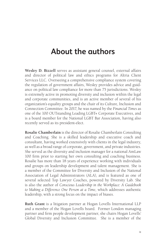## **About the authors**

**Wesley D. Bizzell** serves as assistant general counsel, external affairs and director of political law and ethics programs for Altria Client Services LLC. Overseeing a comprehensive compliance system covering the regulation of government affairs, Wesley provides advice and guidance on political law compliance for more than 75 jurisdictions. Wesley is extremely active in promoting diversity and inclusion within the legal and corporate communities, and is an active member of several of his organization's equality groups and the chair of its Culture, Inclusion and Connection Committee. In 2017, he was named by the *Financial Times* as one of the 100 OUTstanding Leading LGBT+ Corporate Executives, and is a board member for the National LGBT Bar Association, having also recently served as its president-elect.

**Rosalie Chamberlain** is the director of Rosalie Chamberlain Consulting and Coaching. She is a skilled leadership and executive coach and consultant, having worked extensively with clients in the legal industry, as well as a broad range of corporate, government, and private industries. She served as the diversity and inclusion manager for a national AmLaw 100 firm prior to starting her own consulting and coaching business. Rosalie has more than 18 years of experience working with individuals and groups on leadership development and talent management. She is a member of the Committee for Diversity and Inclusion of the National Association of Legal Administrators (ALA), and is featured as one of several selected Top Lawyer Coaches, powered by Diversity Lab. She is also the author of *Conscious Leadership in the Workplace: A Guidebook to Making a Difference One Person at a Time*, which addresses authentic leadership, with a strong focus on the impact of biases.

**Ruth Grant** is a litigation partner at Hogan Lovells International LLP and a member of the Hogan Lovells board. Former London managing partner and firm people development partner, she chairs Hogan Lovells' Global Diversity and Inclusion Committee. She is a member of the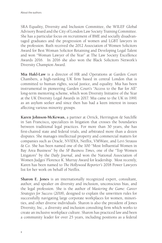SRA Equality, Diversity and Inclusion Committee, the WILEF Global Advisory Board and the City of London Law Society Training Committee. She has a particular focus on recruitment of BME and socially disadvantaged graduates and the progression of women and LGBT lawyers in the profession. Ruth received the 2012 Association of Women Solicitors Award for Best Woman Solicitor Retaining and Developing Legal Talent and won "Woman Lawyer of the Year" at The Law Society Excellence Awards 2016. In 2016 she also won the Black Solicitors Network's Diversity Champion Award.

**Mia Hakl-Law** is a director of HR and Operations at Garden Court Chambers, a high-ranking UK firm based in central London that is committed to human rights, social justice, and equality. Mia has been instrumental in pioneering Garden Court's "Access to the Bar for All" long-term mentoring scheme, which won Diversity Initiative of the Year at the UK Diversity Legal Awards in 2017. Mia came to the UK in 1991 as an asylum seeker and since then has had a keen interest in issues affecting various minority groups.

**Karen Johnson-McKewan,** a partner at Orrick, Herrington & Sutcliffe in San Francisco**,** specializes in litigation that crosses the boundaries between traditional legal practices. For more than 30 years, she has first-chaired state and federal trials, and arbitrated more than a dozen disputes. She manages intellectual property and commercial matters for companies such as Oracle, NVIDIA, Netflix, VMWare, and Levi Strauss & Co. She has been named one of the 100 "Most Influential Women in Bay Area Business" by the *SF Business Times*, one of the "Top Women Litigators" by the *Daily Journal*, and won the National Association of Women Judges' Florence K. Murray Award for leadership. Most recently, Karen has been named to *The Hollywood Reporter's* 2018 Power Lawyers list for her work on behalf of Netflix.

**Sharon E. Jones** is an internationally recognized expert, consultant, author, and speaker on diversity and inclusion, unconscious bias, and the legal profession. She is the author of *Mastering the Game: Career Strategies for Success* (2018), designed to explain the unwritten rules for successfully navigating large corporate workplaces for women, minorities, and other diverse individuals. Sharon is also the president of Jones Diversity, Inc., a diversity and inclusion consulting firm which works to create an inclusive workplace culture. Sharon has practiced law and been a community leader for over 25 years, including positions as a federal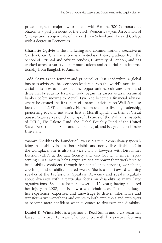prosecutor, with major law firms and with Fortune 500 Corporations. Sharon is a past president of the Black Women Lawyers Association of Chicago and is a graduate of Harvard Law School and Harvard College with a degree in Economics.

**Charlotte Ogilvie** is the marketing and communications executive at Garden Court Chambers. She is a first-class History graduate from the School of Oriental and African Studies, University of London, and has worked across a variety of communications and editorial roles internationally from Bangkok to Amman.

**Todd Sears** is the founder and principal of Out Leadership, a global business advisory that connects leaders across the world's most influential industries to create business opportunities, cultivate talent, and drive LGBT+ equality forward. Todd began his career as an investment banker before moving to Merrill Lynch to become a financial advisor, where he created the first team of financial advisors on Wall Street to focus on the LGBT community. He then moved into diversity leadership, pioneering equality initiatives first at Merrill Lynch and then at Credit Suisse. Sears serves on the non-profit boards of the Williams Institute of UCLA, The Palette Fund, the Global Equality Fund of the United States Department of State and Lambda Legal, and is a graduate of Duke University.

**Yasmin Sheikh** is the founder of Diverse Matters, a consultancy specializing in disability issues (both visible and non-visible disabilities) in the workplace. She is also the vice-chair of Lawyers with Disabilities Division (LDD) at the Law Society and also Council member representing LDD. Yasmin helps organizations empower their workforce to be disability confident through her consultancy services, workshops, coaching, and disability-focused events. She is a multi-award-winning speaker at the Professional Speakers' Academy and speaks regularly about diversity with a particular focus on disability at many large organizations. She is a former lawyer of 12 years; having acquired her injury in 2008, she is now a wheelchair user. Yasmin packages her experience, expertise, and knowledge to deliver informative and transformative workshops and events to both employees and employers to become more confident when it comes to diversity and disability.

**Daniel K. Winterfeldt** is a partner at Reed Smith and a US securities lawyer with over 18 years of experience**,** with his practice focusing